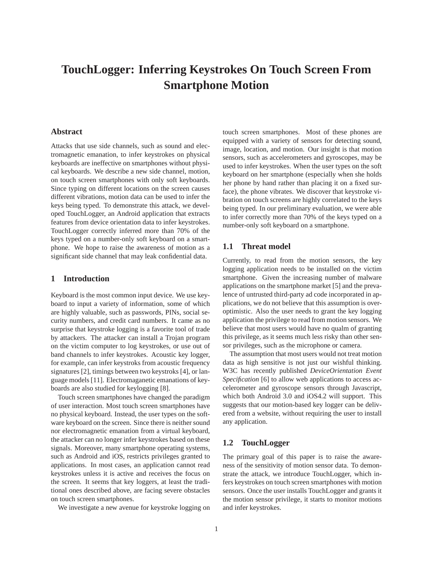# **TouchLogger: Inferring Keystrokes On Touch Screen From Smartphone Motion**

# **Abstract**

Attacks that use side channels, such as sound and electromagnetic emanation, to infer keystrokes on physical keyboards are ineffective on smartphones without physical keyboards. We describe a new side channel, motion, on touch screen smartphones with only soft keyboards. Since typing on different locations on the screen causes different vibrations, motion data can be used to infer the keys being typed. To demonstrate this attack, we developed TouchLogger, an Android application that extracts features from device orientation data to infer keystrokes. TouchLogger correctly inferred more than 70% of the keys typed on a number-only soft keyboard on a smartphone. We hope to raise the awareness of motion as a significant side channel that may leak confidential data.

## **1 Introduction**

Keyboard is the most common input device. We use keyboard to input a variety of information, some of which are highly valuable, such as passwords, PINs, social security numbers, and credit card numbers. It came as no surprise that keystroke logging is a favorite tool of trade by attackers. The attacker can install a Trojan program on the victim computer to log keystrokes, or use out of band channels to infer keystrokes. Acoustic key logger, for example, can infer keystroks from acoustic frequency signatures [2], timings between two keystroks [4], or language models [11]. Electromaganetic emanations of keyboards are also studied for keylogging [8].

Touch screen smartphones have changed the paradigm of user interaction. Most touch screen smartphones have no physical keyboard. Instead, the user types on the software keyboard on the screen. Since there is neither sound nor electromagnetic emanation from a virtual keyboard, the attacker can no longer infer keystrokes based on these signals. Moreover, many smartphone operating systems, such as Android and iOS, restricts privileges granted to applications. In most cases, an application cannot read keystrokes unless it is active and receives the focus on the screen. It seems that key loggers, at least the traditional ones described above, are facing severe obstacles on touch screen smartphones.

We investigate a new avenue for keystroke logging on

touch screen smartphones. Most of these phones are equipped with a variety of sensors for detecting sound, image, location, and motion. Our insight is that motion sensors, such as accelerometers and gyroscopes, may be used to infer keystrokes. When the user types on the soft keyboard on her smartphone (especially when she holds her phone by hand rather than placing it on a fixed surface), the phone vibrates. We discover that keystroke vibration on touch screens are highly correlated to the keys being typed. In our preliminary evaluation, we were able to infer correctly more than 70% of the keys typed on a number-only soft keyboard on a smartphone.

## **1.1 Threat model**

Currently, to read from the motion sensors, the key logging application needs to be installed on the victim smartphone. Given the increasing number of malware applications on the smartphone market [5] and the prevalence of untrusted third-party ad code incorporated in applications, we do not believe that this assumption is overoptimistic. Also the user needs to grant the key logging application the privilege to read from motion sensors. We believe that most users would have no qualm of granting this privilege, as it seems much less risky than other sensor privileges, such as the microphone or camera.

The assumption that most users would not treat motion data as high sensitive is not just our wishful thinking. W3C has recently published *DeviceOrientation Event Specification* [6] to allow web applications to access accelerometer and gyroscope sensors through Javascript, which both Android 3.0 and iOS4.2 will support. This suggests that our motion-based key logger can be delivered from a website, without requiring the user to install any application.

## **1.2 TouchLogger**

The primary goal of this paper is to raise the awareness of the sensitivity of motion sensor data. To demonstrate the attack, we introduce TouchLogger, which infers keystrokes on touch screen smartphones with motion sensors. Once the user installs TouchLogger and grants it the motion sensor privilege, it starts to monitor motions and infer keystrokes.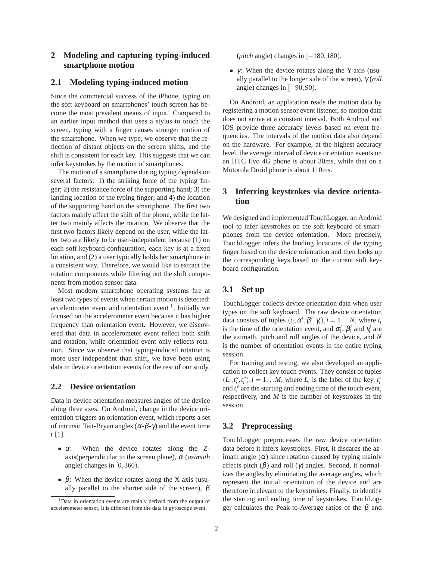# **2 Modeling and capturing typing-induced smartphone motion**

# **2.1 Modeling typing-induced motion**

Since the commercial success of the iPhone, typing on the soft keyboard on smartphones' touch screen has become the most prevalent means of input. Compared to an earlier input method that uses a stylus to touch the screen, typing with a finger causes stronger motion of the smartphone. When we type, we observe that the reflection of distant objects on the screen shifts, and the shift is consistent for each key. This suggests that we can infer keystrokes by the motion of smartphones.

The motion of a smartphone during typing depends on several factors: 1) the striking force of the typing finger; 2) the resistance force of the supporting hand; 3) the landing location of the typing finger; and 4) the location of the supporting hand on the smartphone. The first two factors mainly affect the shift of the phone, while the latter two mainly affects the rotation. We observe that the first two factors likely depend on the user, while the latter two are likely to be user-independent because (1) on each soft keyboard configuration, each key is at a fixed location, and (2) a user typically holds her smartphone in a consistent way. Therefore, we would like to extract the rotation components while filtering out the shift components from motion sensor data.

Most modern smartphone operating systems fire at least two types of events when certain motion is detected: accelerometer event and orientation event <sup>1</sup>. Initially we focused on the accelerometer event because it has higher frequency than orientation event. However, we discovered that data in accelerometer event reflect both shift and rotation, while orientation event only reflects rotation. Since we observe that typing-induced rotation is more user independent than shift, we have been using data in device orientation events for the rest of our study.

#### **2.2 Device orientation**

Data in device orientation measures angles of the device along three axes. On Android, change in the device orientation triggers an orientation event, which reports a set of intrinsic Tait-Bryan angles  $(\alpha-\beta-\gamma)$  and the event time *t* [1].

- $\bullet$   $\alpha$ : When the device rotates along the Zaxis(perpendicular to the screen plane), <sup>α</sup> (*azimuth* angle) changes in  $[0,360)$ .
- $β$ : When the device rotates along the X-axis (usually parallel to the shorter side of the screen),  $\beta$

(*pitch* angle) changes in [−180,180).

•  $\gamma$ : When the device rotates along the Y-axis (usually parallel to the longer side of the screen), γ (*roll* angle) changes in [−90,90).

On Android, an application reads the motion data by registering a motion sensor event listener, so motion data does not arrive at a constant interval. Both Android and iOS provide three accuracy levels based on event frequencies. The intervals of the motion data also depend on the hardware. For example, at the highest accuracy level, the average interval of device orientation events on an HTC Evo 4G phone is about 30ms, while that on a Motorola Droid phone is about 110ms.

# **3 Inferring keystrokes via device orientation**

We designed and implemented TouchLogger, an Android tool to infer keystrokes on the soft keyboard of smartphones from the device orientation. More precisely, TouchLogger infers the landing locations of the typing finger based on the device orientation and then looks up the corresponding keys based on the current soft keyboard configuration.

#### **3.1 Set up**

TouchLogger collects device orientation data when user types on the soft keyboard. The raw device orientation data consists of tuples  $(t_i, \alpha'_i, \beta'_i, \gamma'_i)$ ,  $i = 1...N$ , where  $t_i$ is the time of the orientation event, and  $\alpha'_i$ ,  $\beta'_i$  and  $\gamma'_i$  are the azimath, pitch and roll angles of the device, and *N* is the number of orientation events in the entire typing session.

For training and testing, we also developed an application to collect key touch events. They consist of tuples  $(L_i, t_i^s, t_i^e), i = 1...M$ , where  $L_i$  is the label of the key,  $t_i^s$ and  $t_i^e$  are the starting and ending time of the touch event, respectively, and *M* is the number of keystrokes in the session.

## **3.2 Preprocessing**

TouchLogger preprocesses the raw device orientation data before it infers keystrokes. First, it discards the azimath angle  $(\alpha)$  since rotation caused by typing mainly affects pitch  $(\beta)$  and roll  $(\gamma)$  angles. Second, it normalizes the angles by eliminating the average angles, which represent the initial orientation of the device and are therefore irrelevant to the keystrokes. Finally, to identify the starting and ending time of keystrokes, TouchLogger calculates the Peak-to-Average ratios of the  $\beta$  and

<sup>1</sup>Data in orientation events are mainly derived from the output of accelerometer sensor, It is different from the data in gyroscope event.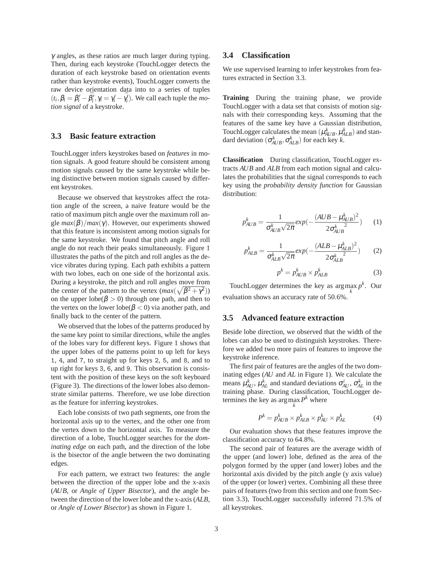γ angles, as these ratios are much larger during typing. Then, during each keystroke (TouchLogger detects the duration of each keystroke based on orientation events rather than keystroke events), TouchLogger converts the raw device orientation data into to a series of tuples  $(t_i, \beta_i = \beta'_i - \bar{\beta}'_i, \gamma_i = \gamma'_i - \bar{\gamma}'_i)$ . We call each tuple the *motion signal* of a keystroke.

#### **3.3 Basic feature extraction**

TouchLogger infers keystrokes based on *features* in motion signals. A good feature should be consistent among motion signals caused by the same keystroke while being distinctive between motion signals caused by different keystrokes.

Because we observed that keystrokes affect the rotation angle of the screen, a naive feature would be the ratio of maximum pitch angle over the maximum roll angle  $max(\beta)/max(\gamma)$ . However, our experiments showed that this feature is inconsistent among motion signals for the same keystroke. We found that pitch angle and roll angle do not reach their peaks simultaneously. Figure 1 illustrates the paths of the pitch and roll angles as the device vibrates during typing. Each path exhibits a pattern with two lobes, each on one side of the horizontal axis. During a keystroke, the pitch and roll angles move from the center of the pattern to the vertex  $(max(\sqrt{\beta^2 + \gamma^2}))$ on the upper  $\lvert \text{obe}(\beta > 0)$  through one path, and then to the vertex on the lower lobe( $\beta$  < 0) via another path, and finally back to the center of the pattern.

We observed that the lobes of the patterns produced by the same key point to similar directions, while the angles of the lobes vary for different keys. Figure 1 shows that the upper lobes of the patterns point to up left for keys 1, 4, and 7, to straight up for keys 2, 5, and 8, and to up right for keys 3, 6, and 9. This observation is consistent with the position of these keys on the soft keyboard (Figure 3). The directions of the lower lobes also demonstrate similar patterns. Therefore, we use lobe direction as the feature for inferring keystrokes.

Each lobe consists of two path segments, one from the horizontal axis up to the vertex, and the other one from the vertex down to the horizontal axis. To measure the direction of a lobe, TouchLogger searches for the *dominating edge* on each path, and the direction of the lobe is the bisector of the angle between the two dominating edges.

For each pattern, we extract two features: the angle between the direction of the upper lobe and the x-axis (*AUB*, or *Angle of Upper Bisector*), and the angle between the direction of the lower lobe and the x-axis (*ALB*, or *Angle of Lower Bisector*) as shown in Figure 1.

# **3.4 Classification**

We use supervised learning to infer keystrokes from features extracted in Section 3.3.

**Training** During the training phase, we provide TouchLogger with a data set that consists of motion signals with their corresponding keys. Assuming that the features of the same key have a Gaussian distribution, Touch Logger calculates the mean  $(\mu_{AUB}^k, \mu_{ALB}^k)$  and standard deviation  $(\sigma_{AUB}^k, \sigma_{ALB}^k)$  for each key *k*.

**Classification** During classification, TouchLogger extracts *AUB* and *ALB* from each motion signal and calculates the probabilities that the signal corresponds to each key using the *probability density function* for Gaussian distribution:

$$
p_{AUB}^k = \frac{1}{\sigma_{AUB}^k \sqrt{2\pi}} exp(-\frac{(AUB - \mu_{AUB}^k)^2}{2\sigma_{AUB}^k})
$$
 (1)

$$
p_{ALB}^k = \frac{1}{\sigma_{ALB}^k \sqrt{2\pi}} exp(-\frac{(ALB - \mu_{ALB}^k)^2}{2\sigma_{ALB}^k)^2})
$$
 (2)

$$
p^k = p^k_{AUB} \times p^k_{ALB} \tag{3}
$$

TouchLogger determines the key as  $\arg \max_{k} p^{k}$ . Our evaluation shows an accuracy rate of 50.6%.

#### **3.5 Advanced feature extraction**

Beside lobe direction, we observed that the width of the lobes can also be used to distinguish keystrokes. Therefore we added two more pairs of features to improve the keystroke inference.

The first pair of features are the angles of the two dominating edges (*AU* and *AL* in Figure 1). We calculate the means  $\mu_{AU}^k$ ,  $\mu_{AL}^k$  and standard deviations  $\sigma_{AU}^i$ ,  $\sigma_{AL}^k$  in the training phase. During classification, TouchLogger determines the key as  $\arg\max_k P^k$  where

$$
P^k = p^k_{AUB} \times p^k_{ALB} \times p^k_{AU} \times p^k_{AL} \tag{4}
$$

Our evaluation shows that these features improve the classification accuracy to 64.8%.

The second pair of features are the average width of the upper (and lower) lobe, defined as the area of the polygon formed by the upper (and lower) lobes and the horizontal axis divided by the pitch angle (y axis value) of the upper (or lower) vertex. Combining all these three pairs of features (two from this section and one from Section 3.3), TouchLogger successfully inferred 71.5% of all keystrokes.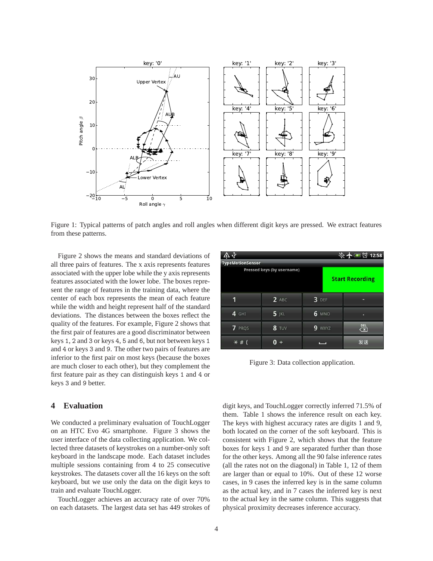

Figure 1: Typical patterns of patch angles and roll angles when different digit keys are pressed. We extract features from these patterns.

Figure 2 shows the means and standard deviations of all three pairs of features. The x axis represents features associated with the upper lobe while the y axis represents features associated with the lower lobe. The boxes represent the range of features in the training data, where the center of each box represents the mean of each feature while the width and height represent half of the standard deviations. The distances between the boxes reflect the quality of the features. For example, Figure 2 shows that the first pair of features are a good discriminator between keys 1, 2 and 3 or keys 4, 5 and 6, but not between keys 1 and 4 or keys 3 and 9. The other two pairs of features are inferior to the first pair on most keys (because the boxes are much closer to each other), but they complement the first feature pair as they can distinguish keys 1 and 4 or keys 3 and 9 better.

#### **4 Evaluation**

We conducted a preliminary evaluation of TouchLogger on an HTC Evo 4G smartphone. Figure 3 shows the user interface of the data collecting application. We collected three datasets of keystrokes on a number-only soft keyboard in the landscape mode. Each dataset includes multiple sessions containing from 4 to 25 consecutive keystrokes. The datasets cover all the 16 keys on the soft keyboard, but we use only the data on the digit keys to train and evaluate TouchLogger.

TouchLogger achieves an accuracy rate of over 70% on each datasets. The largest data set has 449 strokes of

| ক                       |                            |                        | ※ 十国 ① 12:58                   |  |  |  |  |  |  |  |  |  |
|-------------------------|----------------------------|------------------------|--------------------------------|--|--|--|--|--|--|--|--|--|
| <b>TypeMotionSensor</b> |                            |                        |                                |  |  |  |  |  |  |  |  |  |
|                         | Pressed keys (by username) | <b>Start Recording</b> |                                |  |  |  |  |  |  |  |  |  |
| 1                       | $2$ ABC                    | 3 DEF                  |                                |  |  |  |  |  |  |  |  |  |
| 4 GHI                   | <b>5</b> JKL               | <b>6 MNO</b>           | п                              |  |  |  |  |  |  |  |  |  |
| 7 PRQS                  | 8 TUV                      | 9<br>WXYZ              | DEL<br>$\overline{\mathbf{x}}$ |  |  |  |  |  |  |  |  |  |
| $\ast$ :                |                            |                        | 发送                             |  |  |  |  |  |  |  |  |  |

Figure 3: Data collection application.

digit keys, and TouchLogger correctly inferred 71.5% of them. Table 1 shows the inference result on each key. The keys with highest accuracy rates are digits 1 and 9, both located on the corner of the soft keyboard. This is consistent with Figure 2, which shows that the feature boxes for keys 1 and 9 are separated further than those for the other keys. Among all the 90 false inference rates (all the rates not on the diagonal) in Table 1, 12 of them are larger than or equal to 10%. Out of these 12 worse cases, in 9 cases the inferred key is in the same column as the actual key, and in 7 cases the inferred key is next to the actual key in the same column. This suggests that physical proximity decreases inference accuracy.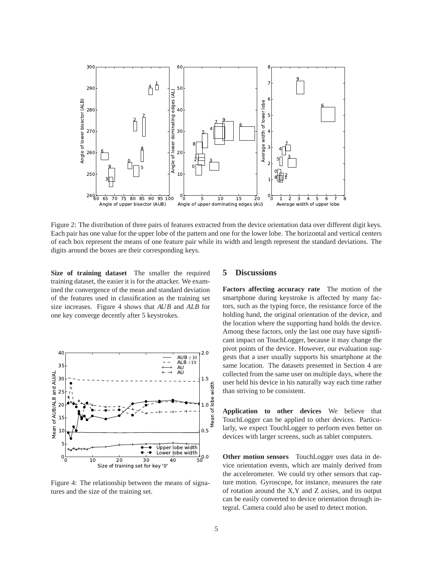

Figure 2: The distribution of three pairs of features extracted from the device orientation data over different digit keys. Each pair has one value for the upper lobe of the pattern and one for the lower lobe. The horizontal and vertical centers of each box represent the means of one feature pair while its width and length represent the standard deviations. The digits around the boxes are their corresponding keys.

**Size of training dataset** The smaller the required training dataset, the easier it is for the attacker. We examined the convergence of the mean and standard deviation of the features used in classification as the training set size increases. Figure 4 shows that *AUB* and *ALB* for one key converge decently after 5 keystrokes.



Figure 4: The relationship between the means of signatures and the size of the training set.

## **5 Discussions**

**Factors affecting accuracy rate** The motion of the smartphone during keystroke is affected by many factors, such as the typing force, the resistance force of the holding hand, the original orientation of the device, and the location where the supporting hand holds the device. Among these factors, only the last one may have significant impact on TouchLogger, because it may change the pivot points of the device. However, our evaluation suggests that a user usually supports his smartphone at the same location. The datasets presented in Section 4 are collected from the same user on multiple days, where the user held his device in his naturally way each time rather than striving to be consistent.

**Application to other devices** We believe that TouchLogger can be applied to other devices. Particularly, we expect TouchLogger to perform even better on devices with larger screens, such as tablet computers.

**Other motion sensors** TouchLogger uses data in device orientation events, which are mainly derived from the accelerometer. We could try other sensors that capture motion. Gyroscope, for instance, measures the rate of rotation around the X,Y and Z axises, and its output can be easily converted to device orientation through integral. Camera could also be used to detect motion.